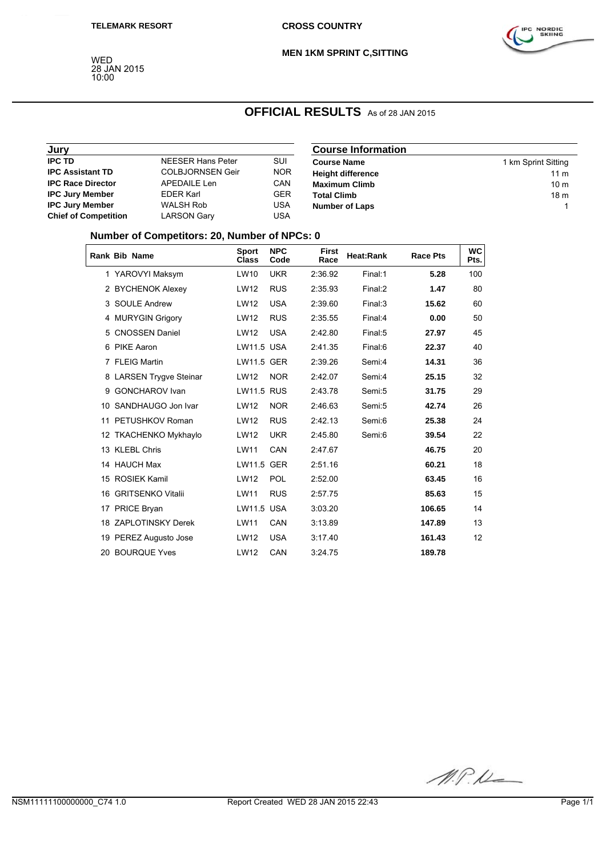

#### **MEN 1KM SPRINT C,SITTING**

WED 28 JAN 2015 10:00

### **OFFICIAL RESULTS** As of 28 JAN 2015

| Jury                        |                         |            | <b>Course Information</b> |                     |
|-----------------------------|-------------------------|------------|---------------------------|---------------------|
| <b>IPC TD</b>               | NEESER Hans Peter       | SUI        | <b>Course Name</b>        | 1 km Sprint Sitting |
| <b>IPC Assistant TD</b>     | <b>COLBJORNSEN Geir</b> | <b>NOR</b> | <b>Height difference</b>  | 11 m                |
| <b>IPC Race Director</b>    | APEDAILE Len            | CAN        | <b>Maximum Climb</b>      | 10 <sub>m</sub>     |
| <b>IPC Jury Member</b>      | <b>EDER Karl</b>        | <b>GER</b> | <b>Total Climb</b>        | 18 <sub>m</sub>     |
| <b>IPC Jury Member</b>      | <b>WALSH Rob</b>        | <b>USA</b> | <b>Number of Laps</b>     |                     |
| <b>Chief of Competition</b> | LARSON Garv             | USA        |                           |                     |

### **Number of Competitors: 20, Number of NPCs: 0**

|   | <b>Rank Bib Name</b>    | <b>Sport</b><br><b>Class</b> | <b>NPC</b><br>Code | <b>First</b><br>Race | Heat:Rank | <b>Race Pts</b> | <b>WC</b><br>Pts. |
|---|-------------------------|------------------------------|--------------------|----------------------|-----------|-----------------|-------------------|
|   | 1 YAROVYI Maksym        | LW10                         | <b>UKR</b>         | 2:36.92              | Final:1   | 5.28            | 100               |
|   | 2 BYCHENOK Alexev       | <b>LW12</b>                  | <b>RUS</b>         | 2:35.93              | Final:2   | 1.47            | 80                |
|   | 3 SOULE Andrew          | <b>LW12</b>                  | <b>USA</b>         | 2:39.60              | Final:3   | 15.62           | 60                |
|   | 4 MURYGIN Grigory       | LW12                         | <b>RUS</b>         | 2:35.55              | Final:4   | 0.00            | 50                |
| 5 | <b>CNOSSEN Daniel</b>   | <b>LW12</b>                  | <b>USA</b>         | 2:42.80              | Final:5   | 27.97           | 45                |
|   | 6 PIKE Aaron            | <b>LW11.5 USA</b>            |                    | 2:41.35              | Final:6   | 22.37           | 40                |
|   | 7 FLEIG Martin          | <b>LW11.5 GER</b>            |                    | 2:39.26              | Semi:4    | 14.31           | 36                |
|   | 8 LARSEN Trygve Steinar | LW12                         | <b>NOR</b>         | 2:42.07              | Semi:4    | 25.15           | 32                |
| 9 | <b>GONCHAROV Ivan</b>   | <b>LW11.5 RUS</b>            |                    | 2:43.78              | Semi:5    | 31.75           | 29                |
|   | 10 SANDHAUGO Jon Ivar   | <b>LW12</b>                  | <b>NOR</b>         | 2:46.63              | Semi:5    | 42.74           | 26                |
|   | 11 PETUSHKOV Roman      | <b>LW12</b>                  | <b>RUS</b>         | 2:42.13              | Semi:6    | 25.38           | 24                |
|   | 12 TKACHENKO Mykhaylo   | LW12                         | <b>UKR</b>         | 2:45.80              | Semi:6    | 39.54           | 22                |
|   | 13 KLEBL Chris          | <b>LW11</b>                  | CAN                | 2:47.67              |           | 46.75           | 20                |
|   | 14 HAUCH Max            | <b>LW11.5 GER</b>            |                    | 2:51.16              |           | 60.21           | 18                |
|   | 15 ROSIEK Kamil         | <b>LW12</b>                  | POL                | 2:52.00              |           | 63.45           | 16                |
|   | 16 GRITSENKO Vitalii    | <b>LW11</b>                  | <b>RUS</b>         | 2:57.75              |           | 85.63           | 15                |
|   | 17 PRICE Bryan          | <b>LW11.5 USA</b>            |                    | 3:03.20              |           | 106.65          | 14                |
|   | 18 ZAPLOTINSKY Derek    | <b>LW11</b>                  | CAN                | 3:13.89              |           | 147.89          | 13                |
|   | 19 PEREZ Augusto Jose   | LW12                         | <b>USA</b>         | 3:17.40              |           | 161.43          | 12                |
|   | 20 BOURQUE Yves         | <b>LW12</b>                  | CAN                | 3:24.75              |           | 189.78          |                   |

M.P.K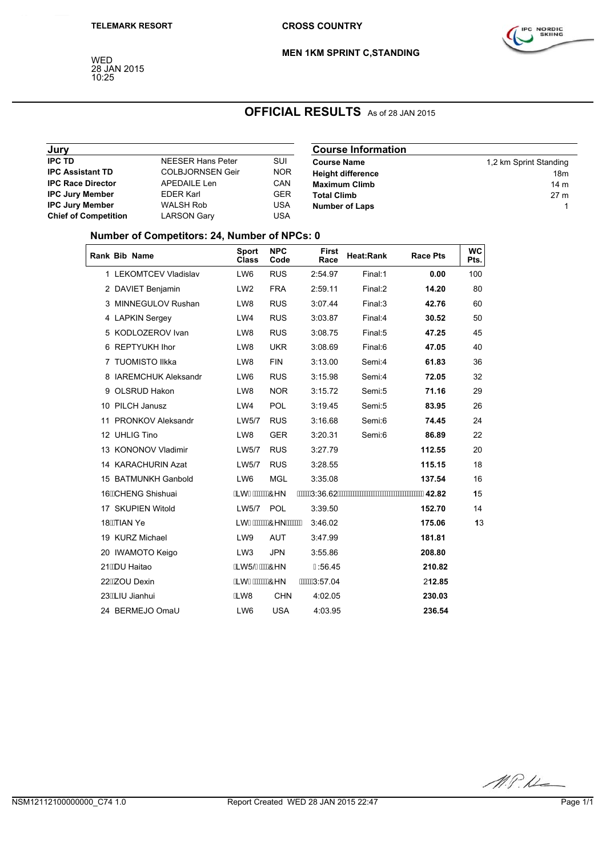WED 28 JAN 2015 10:25



**MEN 1KM SPRINT C,STANDING**

# **OFFICIAL RESULTS** As of 28 JAN 2015

| Jury                        |                          |            | <b>Course Information</b> |                        |
|-----------------------------|--------------------------|------------|---------------------------|------------------------|
| <b>IPC TD</b>               | <b>NEESER Hans Peter</b> | SUI        | <b>Course Name</b>        | 1,2 km Sprint Standing |
| <b>IPC Assistant TD</b>     | COLBJORNSEN Geir         | <b>NOR</b> | <b>Height difference</b>  | 18m                    |
| <b>IPC Race Director</b>    | APEDAILE Len             | <b>CAN</b> | <b>Maximum Climb</b>      | 14 <sub>m</sub>        |
| <b>IPC Jury Member</b>      | <b>EDER Karl</b>         | <b>GER</b> | <b>Total Climb</b>        | 27 <sub>m</sub>        |
| <b>IPC Jury Member</b>      | WALSH Rob                | <b>USA</b> | <b>Number of Laps</b>     |                        |
| <b>Chief of Competition</b> | LARSON Gary              | <b>USA</b> |                           |                        |

### **Number of Competitors: 24, Number of NPCs: 0**

|                    | Rank Bib Name           |                            | <b>Sport</b><br>Class       | <b>NPC</b><br>Code | <b>First</b><br>Race | <b>Heat:Rank</b> | <b>Race Pts</b> | <b>WC</b><br>Pts. |
|--------------------|-------------------------|----------------------------|-----------------------------|--------------------|----------------------|------------------|-----------------|-------------------|
|                    |                         | 1 LEKOMTCEV Vladislav      | LW <sub>6</sub>             | <b>RUS</b>         | 2:54.97              | Final:1          | 0.00            | 100               |
|                    | 2 DAVIET Benjamin       |                            | LW <sub>2</sub>             | <b>FRA</b>         | 2:59.11              | Final:2          | 14.20           | 80                |
|                    |                         | 3 MINNEGULOV Rushan        | LW8                         | <b>RUS</b>         | 3:07.44              | Final:3          | 42.76           | 60                |
|                    | 4 LAPKIN Sergey         |                            | LW4                         | <b>RUS</b>         | 3:03.87              | Final:4          | 30.52           | 50                |
|                    | 5 KODLOZEROV Ivan       |                            | LW8                         | <b>RUS</b>         | 3:08.75              | Final:5          | 47.25           | 45                |
|                    | 6 REPTYUKH Ihor         |                            | LW8                         | <b>UKR</b>         | 3:08.69              | Final:6          | 47.05           | 40                |
|                    | 7 TUOMISTO Ilkka        |                            | LW8                         | <b>FIN</b>         | 3:13.00              | Semi:4           | 61.83           | 36                |
|                    |                         | 8 IAREMCHUK Aleksandr      | LW <sub>6</sub>             | <b>RUS</b>         | 3:15.98              | Semi:4           | 72.05           | 32                |
|                    | 9 OLSRUD Hakon          |                            | LW8                         | <b>NOR</b>         | 3:15.72              | Semi:5           | 71.16           | 29                |
|                    | 10 PILCH Janusz         |                            | LW4                         | POL                | 3:19.45              | Semi:5           | 83.95           | 26                |
|                    | 11 PRONKOV Aleksandr    |                            | LW5/7                       | <b>RUS</b>         | 3:16.68              | Semi:6           | 74.45           | 24                |
|                    | 12 UHLIG Tino           |                            | LW8                         | <b>GER</b>         | 3:20.31              | Semi:6           | 86.89           | 22                |
|                    | 13 KONONOV Vladimir     |                            | LW5/7                       | <b>RUS</b>         | 3:27.79              |                  | 112.55          | 20                |
|                    | 14 KARACHURIN Azat      |                            | LW5/7                       | <b>RUS</b>         | 3:28.55              |                  | 115.15          | 18                |
|                    | 15 BATMUNKH Ganbold     |                            | LW <sub>6</sub>             | <b>MGL</b>         | 3:35.08              |                  | 137.54          | 16                |
| 16 KCHENG Shishuai |                         | ÁL WÎ Á <del>W W</del> ÔHN |                             |                    |                      |                  | 15              |                   |
|                    | 17 SKUPIEN Witold       |                            | LW5/7                       | POL                | 3:39.50              |                  | 152.70          | 14                |
|                    | 18 <del>ÁT</del> IAN Ye |                            |                             |                    | 3:46.02              |                  | 175.06          | 13                |
|                    | 19 KURZ Michael         |                            | LW9                         | <b>AUT</b>         | 3:47.99              |                  | 181.81          |                   |
|                    | 20 IWAMOTO Keigo        |                            | LW <sub>3</sub>             | <b>JPN</b>         | 3:55.86              |                  | 208.80          |                   |
|                    | 21ADU Haitao            |                            | ÁLW5/ÏÁWAÔHN                |                    | H56.45               |                  | 210.82          |                   |
|                    | 22 KZOU Dexin           |                            | ÁL WÎ Á <del>W</del> W KÔHN |                    | <b>AXXXS:57.04</b>   |                  | 212.85          |                   |
|                    | 23ÁLIU Jianhui          |                            | ÁLW8                        | <b>CHN</b>         | 4:02.05              |                  | 230.03          |                   |
|                    | 24 BERMEJO Omal         |                            | LW6                         | <b>USA</b>         | 4:03.95              |                  | 236.54          |                   |

M.P.M